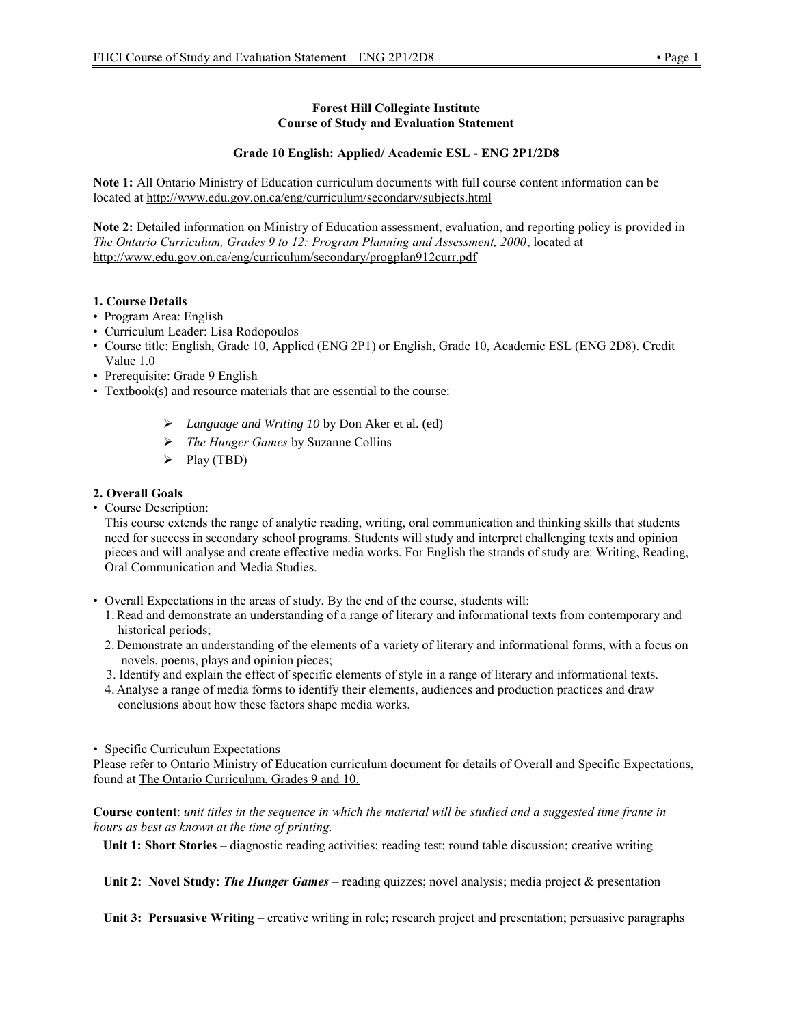### **Forest Hill Collegiate Institute Course of Study and Evaluation Statement**

## **Grade 10 English: Applied/ Academic ESL - ENG 2P1/2D8**

**Note 1:** All Ontario Ministry of Education curriculum documents with full course content information can be located at http://www.edu.gov.on.ca/eng/curriculum/secondary/subjects.html

**Note 2:** Detailed information on Ministry of Education assessment, evaluation, and reporting policy is provided in *The Ontario Curriculum, Grades 9 to 12: Program Planning and Assessment, 2000*, located at http://www.edu.gov.on.ca/eng/curriculum/secondary/progplan912curr.pdf

## **1. Course Details**

- Program Area: English
- Curriculum Leader: Lisa Rodopoulos
- Course title: English, Grade 10, Applied (ENG 2P1) or English, Grade 10, Academic ESL (ENG 2D8). Credit Value 1.0
- Prerequisite: Grade 9 English
- Textbook(s) and resource materials that are essential to the course:
	- *Language and Writing 10* by Don Aker et al. (ed)
	- *The Hunger Games* by Suzanne Collins
	- $\triangleright$  Play (TBD)

# **2. Overall Goals**

• Course Description:

This course extends the range of analytic reading, writing, oral communication and thinking skills that students need for success in secondary school programs. Students will study and interpret challenging texts and opinion pieces and will analyse and create effective media works. For English the strands of study are: Writing, Reading, Oral Communication and Media Studies.

- Overall Expectations in the areas of study. By the end of the course, students will:
	- 1.Read and demonstrate an understanding of a range of literary and informational texts from contemporary and historical periods;
	- 2. Demonstrate an understanding of the elements of a variety of literary and informational forms, with a focus on novels, poems, plays and opinion pieces;
	- 3. Identify and explain the effect of specific elements of style in a range of literary and informational texts.
	- 4. Analyse a range of media forms to identify their elements, audiences and production practices and draw conclusions about how these factors shape media works.

#### • Specific Curriculum Expectations

Please refer to Ontario Ministry of Education curriculum document for details of Overall and Specific Expectations, found at The Ontario Curriculum, Grades 9 and 10.

**Course content**: *unit titles in the sequence in which the material will be studied and a suggested time frame in hours as best as known at the time of printing.*

**Unit 1: Short Stories** – diagnostic reading activities; reading test; round table discussion; creative writing

Unit 2: Novel Study: *The Hunger Games* – reading quizzes; novel analysis; media project & presentation

**Unit 3: Persuasive Writing** – creative writing in role; research project and presentation; persuasive paragraphs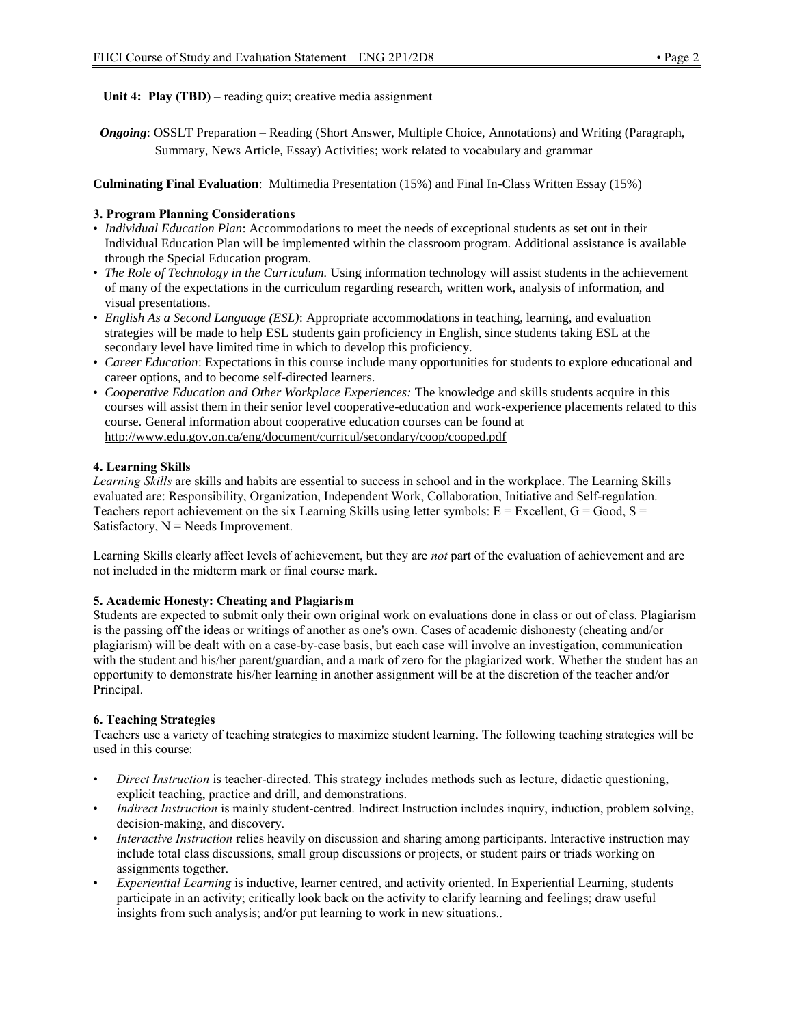**Unit 4: Play (TBD)** – reading quiz; creative media assignment

*Ongoing*: OSSLT Preparation – Reading (Short Answer, Multiple Choice, Annotations) and Writing (Paragraph, Summary, News Article, Essay) Activities; work related to vocabulary and grammar

**Culminating Final Evaluation**: Multimedia Presentation (15%) and Final In-Class Written Essay (15%)

## **3. Program Planning Considerations**

- *Individual Education Plan*: Accommodations to meet the needs of exceptional students as set out in their Individual Education Plan will be implemented within the classroom program. Additional assistance is available through the Special Education program.
- *The Role of Technology in the Curriculum.* Using information technology will assist students in the achievement of many of the expectations in the curriculum regarding research, written work, analysis of information, and visual presentations.
- *English As a Second Language (ESL)*: Appropriate accommodations in teaching, learning, and evaluation strategies will be made to help ESL students gain proficiency in English, since students taking ESL at the secondary level have limited time in which to develop this proficiency.
- *Career Education*: Expectations in this course include many opportunities for students to explore educational and career options, and to become self-directed learners.
- *Cooperative Education and Other Workplace Experiences:* The knowledge and skills students acquire in this courses will assist them in their senior level cooperative-education and work-experience placements related to this course. General information about cooperative education courses can be found at http://www.edu.gov.on.ca/eng/document/curricul/secondary/coop/cooped.pdf

## **4. Learning Skills**

*Learning Skills* are skills and habits are essential to success in school and in the workplace. The Learning Skills evaluated are: Responsibility, Organization, Independent Work, Collaboration, Initiative and Self-regulation. Teachers report achievement on the six Learning Skills using letter symbols:  $E = Excellent$ ,  $G = Good$ ,  $S =$ Satisfactory,  $N =$  Needs Improvement.

Learning Skills clearly affect levels of achievement, but they are *not* part of the evaluation of achievement and are not included in the midterm mark or final course mark.

#### **5. Academic Honesty: Cheating and Plagiarism**

Students are expected to submit only their own original work on evaluations done in class or out of class. Plagiarism is the passing off the ideas or writings of another as one's own. Cases of academic dishonesty (cheating and/or plagiarism) will be dealt with on a case-by-case basis, but each case will involve an investigation, communication with the student and his/her parent/guardian, and a mark of zero for the plagiarized work. Whether the student has an opportunity to demonstrate his/her learning in another assignment will be at the discretion of the teacher and/or Principal.

#### **6. Teaching Strategies**

Teachers use a variety of teaching strategies to maximize student learning. The following teaching strategies will be used in this course:

- *Direct Instruction* is teacher-directed. This strategy includes methods such as lecture, didactic questioning, explicit teaching, practice and drill, and demonstrations.
- *Indirect Instruction* is mainly student-centred. Indirect Instruction includes inquiry, induction, problem solving, decision-making, and discovery.
- *Interactive Instruction* relies heavily on discussion and sharing among participants. Interactive instruction may include total class discussions, small group discussions or projects, or student pairs or triads working on assignments together.
- *Experiential Learning* is inductive, learner centred, and activity oriented. In Experiential Learning, students participate in an activity; critically look back on the activity to clarify learning and feelings; draw useful insights from such analysis; and/or put learning to work in new situations..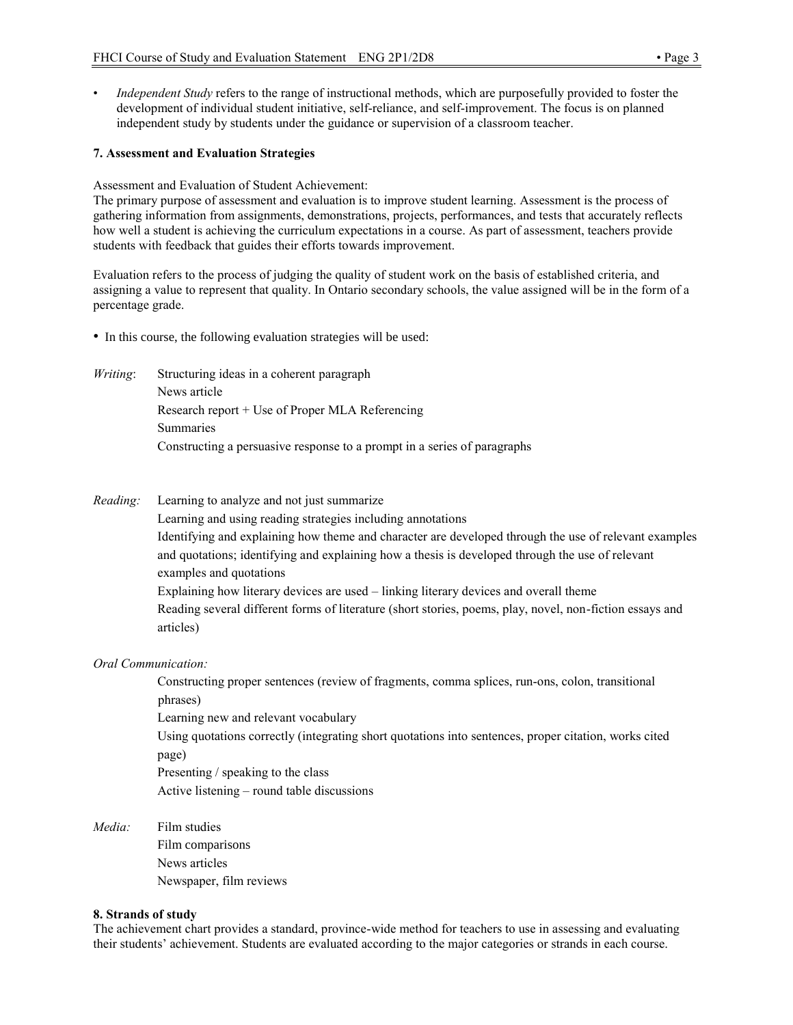• *Independent Study* refers to the range of instructional methods, which are purposefully provided to foster the development of individual student initiative, self-reliance, and self-improvement. The focus is on planned independent study by students under the guidance or supervision of a classroom teacher.

#### **7. Assessment and Evaluation Strategies**

Assessment and Evaluation of Student Achievement:

The primary purpose of assessment and evaluation is to improve student learning. Assessment is the process of gathering information from assignments, demonstrations, projects, performances, and tests that accurately reflects how well a student is achieving the curriculum expectations in a course. As part of assessment, teachers provide students with feedback that guides their efforts towards improvement.

Evaluation refers to the process of judging the quality of student work on the basis of established criteria, and assigning a value to represent that quality. In Ontario secondary schools, the value assigned will be in the form of a percentage grade.

- In this course, the following evaluation strategies will be used:
- *Writing*: Structuring ideas in a coherent paragraph News article Research report + Use of Proper MLA Referencing Summaries Constructing a persuasive response to a prompt in a series of paragraphs
- *Reading:* Learning to analyze and not just summarize

Learning and using reading strategies including annotations Identifying and explaining how theme and character are developed through the use of relevant examples and quotations; identifying and explaining how a thesis is developed through the use of relevant examples and quotations Explaining how literary devices are used – linking literary devices and overall theme Reading several different forms of literature (short stories, poems, play, novel, non-fiction essays and articles)

#### *Oral Communication:*

Constructing proper sentences (review of fragments, comma splices, run-ons, colon, transitional phrases)

Learning new and relevant vocabulary

Using quotations correctly (integrating short quotations into sentences, proper citation, works cited page)

Presenting / speaking to the class Active listening – round table discussions

*Media:* Film studies

Film comparisons News articles Newspaper, film reviews

#### **8. Strands of study**

The achievement chart provides a standard, province-wide method for teachers to use in assessing and evaluating their students' achievement. Students are evaluated according to the major categories or strands in each course.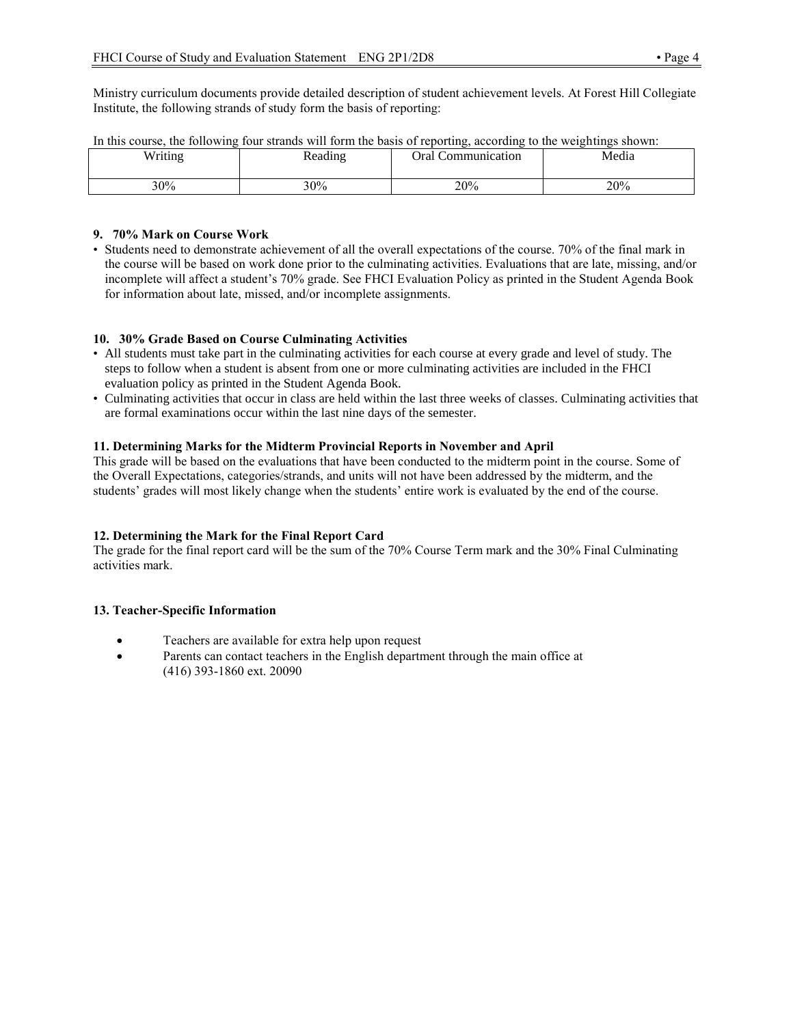Ministry curriculum documents provide detailed description of student achievement levels. At Forest Hill Collegiate Institute, the following strands of study form the basis of reporting:

| $\mathbf{v}$ $\mathbf{v}$ $\mathbf{v}$ $\mathbf{v}$ $\mathbf{v}$<br> | Reading | ommunication<br>Jral | Media |
|----------------------------------------------------------------------|---------|----------------------|-------|
| 30%                                                                  | 30%     | 20%                  | 20%   |

|  |  |  |  | In this course, the following four strands will form the basis of reporting, according to the weightings shown: |  |
|--|--|--|--|-----------------------------------------------------------------------------------------------------------------|--|
|  |  |  |  |                                                                                                                 |  |

# **9. 70% Mark on Course Work**

• Students need to demonstrate achievement of all the overall expectations of the course. 70% of the final mark in the course will be based on work done prior to the culminating activities. Evaluations that are late, missing, and/or incomplete will affect a student's 70% grade. See FHCI Evaluation Policy as printed in the Student Agenda Book for information about late, missed, and/or incomplete assignments.

## **10. 30% Grade Based on Course Culminating Activities**

- All students must take part in the culminating activities for each course at every grade and level of study. The steps to follow when a student is absent from one or more culminating activities are included in the FHCI evaluation policy as printed in the Student Agenda Book.
- Culminating activities that occur in class are held within the last three weeks of classes. Culminating activities that are formal examinations occur within the last nine days of the semester.

## **11. Determining Marks for the Midterm Provincial Reports in November and April**

This grade will be based on the evaluations that have been conducted to the midterm point in the course. Some of the Overall Expectations, categories/strands, and units will not have been addressed by the midterm, and the students' grades will most likely change when the students' entire work is evaluated by the end of the course.

#### **12. Determining the Mark for the Final Report Card**

The grade for the final report card will be the sum of the 70% Course Term mark and the 30% Final Culminating activities mark.

#### **13. Teacher-Specific Information**

- Teachers are available for extra help upon request
- Parents can contact teachers in the English department through the main office at (416) 393-1860 ext. 20090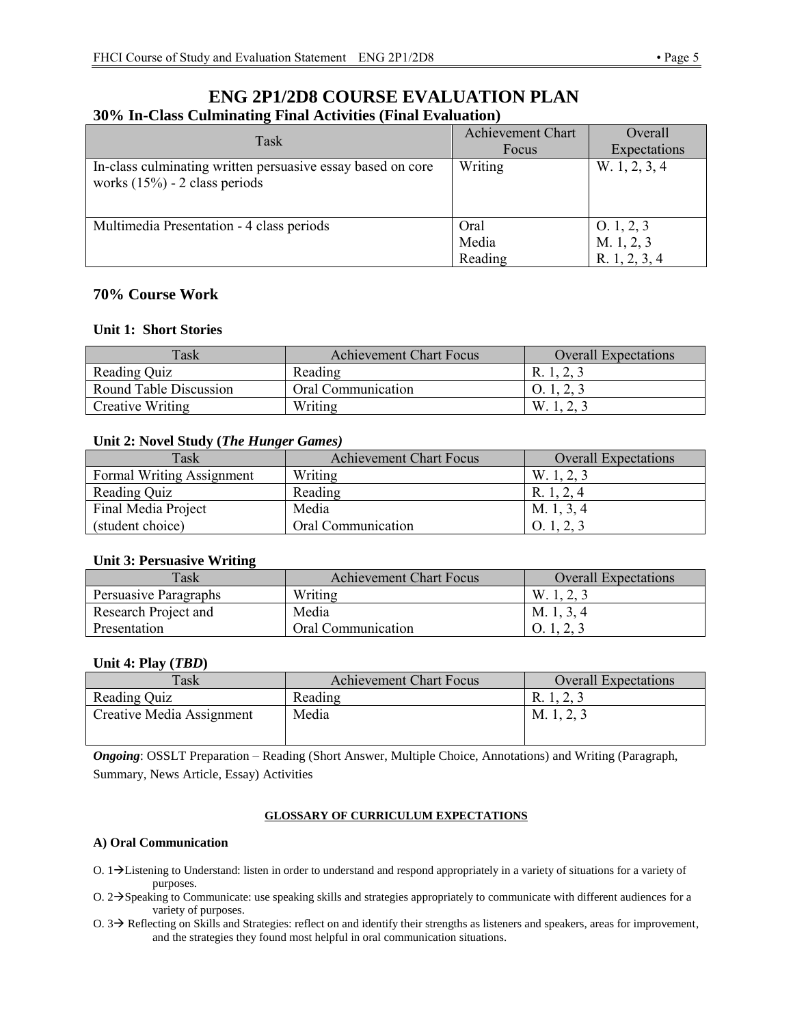# **ENG 2P1/2D8 COURSE EVALUATION PLAN 30% In-Class Culminating Final Activities (Final Evaluation)**

| Task                                                                                            | <b>Achievement Chart</b> | Overall                                    |
|-------------------------------------------------------------------------------------------------|--------------------------|--------------------------------------------|
|                                                                                                 | Focus                    | Expectations                               |
| In-class culminating written persuasive essay based on core<br>works $(15\%)$ - 2 class periods | Writing                  | W. 1, 2, 3, 4                              |
| Multimedia Presentation - 4 class periods                                                       | Oral<br>Media<br>Reading | 0.1, 2, 3<br>M. 1, 2, 3<br>R. $1, 2, 3, 4$ |

# **70% Course Work**

# **Unit 1: Short Stories**

| Task                   | <b>Achievement Chart Focus</b> | <b>Overall Expectations</b> |
|------------------------|--------------------------------|-----------------------------|
| Reading Quiz           | Reading                        | R. 1, 2, 3                  |
| Round Table Discussion | Oral Communication             | O.1, 2, 3                   |
| Creative Writing       | Writing                        | W.1, 4, 4                   |

# **Unit 2: Novel Study (***The Hunger Games)*

| Task                      | <b>Achievement Chart Focus</b> | <b>Overall Expectations</b> |
|---------------------------|--------------------------------|-----------------------------|
| Formal Writing Assignment | Writing                        | W. 1, 2, 3                  |
| Reading Quiz              | Reading                        | R. 1, 2, 4                  |
| Final Media Project       | Media                          | M. 1, 3, 4                  |
| (student choice)          | Oral Communication             | O.1, 2, 3                   |

# **Unit 3: Persuasive Writing**

| Task                  | <b>Achievement Chart Focus</b> | <b>Overall Expectations</b> |
|-----------------------|--------------------------------|-----------------------------|
| Persuasive Paragraphs | Writing                        | W, 1, 2, 3                  |
| Research Project and  | Media                          | M. 1, 3, 4                  |
| Presentation          | Oral Communication             |                             |

# **Unit 4: Play (***TBD***)**

| Task                      | <b>Achievement Chart Focus</b> | <b>Overall Expectations</b> |
|---------------------------|--------------------------------|-----------------------------|
| Reading Quiz              | Reading                        | R. 1, 2, 3                  |
| Creative Media Assignment | Media                          | M. 1, 2, 3                  |

*Ongoing*: OSSLT Preparation – Reading (Short Answer, Multiple Choice, Annotations) and Writing (Paragraph, Summary, News Article, Essay) Activities

#### **GLOSSARY OF CURRICULUM EXPECTATIONS**

# **A) Oral Communication**

- O.  $1\rightarrow$  Listening to Understand: listen in order to understand and respond appropriately in a variety of situations for a variety of purposes.
- O.  $2\rightarrow$  Speaking to Communicate: use speaking skills and strategies appropriately to communicate with different audiences for a variety of purposes.
- $O.3 \rightarrow$  Reflecting on Skills and Strategies: reflect on and identify their strengths as listeners and speakers, areas for improvement, and the strategies they found most helpful in oral communication situations.